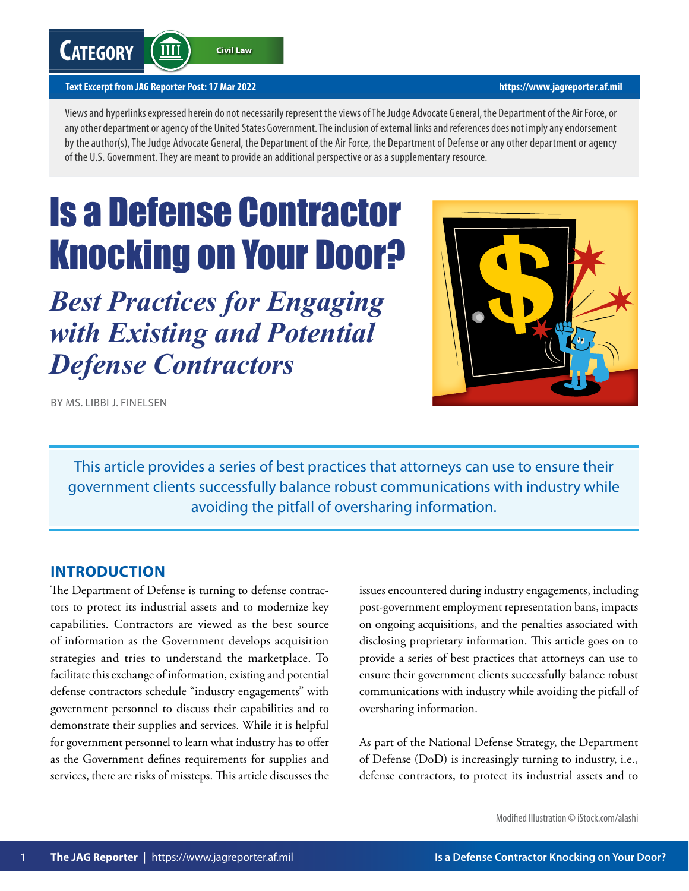# **Category**

**Civil Law** 

#### **Text Excerpt from JAG Reporter Post: 17 Mar 2022 <https://www.jagreporter.af.mil>**

**TIII** 

Views and hyperlinks expressed herein do not necessarily represent the views of The Judge Advocate General, the Department of the Air Force, or any other department or agency of the United States Government. The inclusion of external links and references does not imply any endorsement by the author(s), The Judge Advocate General, the Department of the Air Force, the Department of Defense or any other department or agency of the U.S. Government. They are meant to provide an additional perspective or as a supplementary resource.

# Is a Defense Contractor Knocking on Your Door?

*Best Practices for Engaging with Existing and Potential Defense Contractors*



BY MS. LIBBI J. FINELSEN

This article provides a series of best practices that attorneys can use to ensure their government clients successfully balance robust communications with industry while avoiding the pitfall of oversharing information.

#### **INTRODUCTION**

The Department of Defense is turning to defense contractors to protect its industrial assets and to modernize key capabilities. Contractors are viewed as the best source of information as the Government develops acquisition strategies and tries to understand the marketplace. To facilitate this exchange of information, existing and potential defense contractors schedule "industry engagements" with government personnel to discuss their capabilities and to demonstrate their supplies and services. While it is helpful for government personnel to learn what industry has to offer as the Government defines requirements for supplies and services, there are risks of missteps. This article discusses the issues encountered during industry engagements, including post-government employment representation bans, impacts on ongoing acquisitions, and the penalties associated with disclosing proprietary information. This article goes on to provide a series of best practices that attorneys can use to ensure their government clients successfully balance robust communications with industry while avoiding the pitfall of oversharing information.

As part of the National Defense Strategy, the Department of Defense (DoD) is increasingly turning to industry, i.e., defense contractors, to protect its industrial assets and to

Modified Illustration © iStock.com/alashi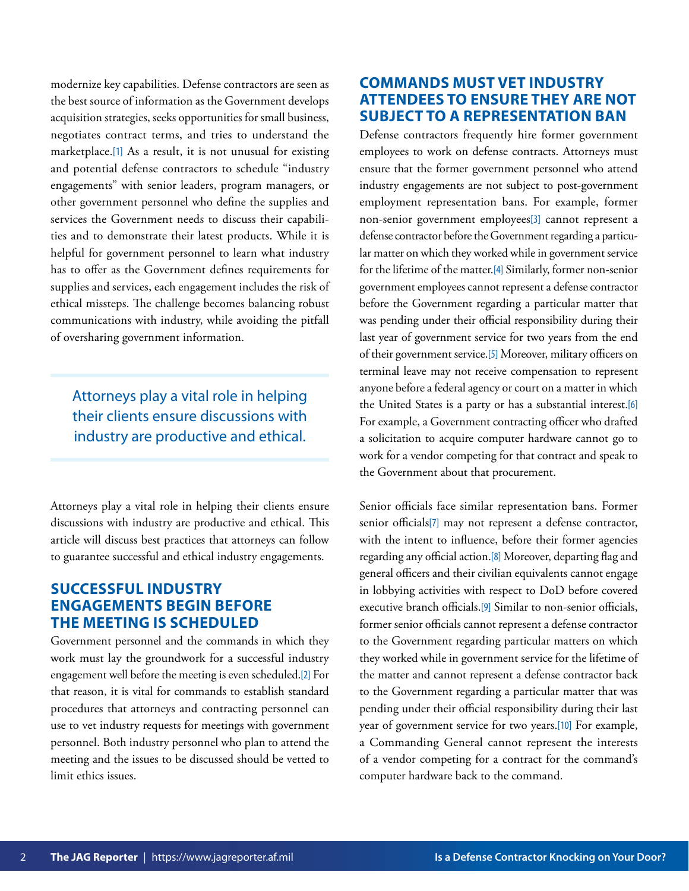<span id="page-1-0"></span>modernize key capabilities. Defense contractors are seen as the best source of information as the Government develops acquisition strategies, seeks opportunities for small business, negotiates contract terms, and tries to understand the marketplace.[\[1\]](#page-6-0) As a result, it is not unusual for existing and potential defense contractors to schedule "industry engagements" with senior leaders, program managers, or other government personnel who define the supplies and services the Government needs to discuss their capabilities and to demonstrate their latest products. While it is helpful for government personnel to learn what industry has to offer as the Government defines requirements for supplies and services, each engagement includes the risk of ethical missteps. The challenge becomes balancing robust communications with industry, while avoiding the pitfall of oversharing government information.

Attorneys play a vital role in helping their clients ensure discussions with industry are productive and ethical.

Attorneys play a vital role in helping their clients ensure discussions with industry are productive and ethical. This article will discuss best practices that attorneys can follow to guarantee successful and ethical industry engagements.

### **SUCCESSFUL INDUSTRY ENGAGEMENTS BEGIN BEFORE THE MEETING IS SCHEDULED**

Government personnel and the commands in which they work must lay the groundwork for a successful industry engagement well before the meeting is even scheduled.[\[2\]](#page-6-0) For that reason, it is vital for commands to establish standard procedures that attorneys and contracting personnel can use to vet industry requests for meetings with government personnel. Both industry personnel who plan to attend the meeting and the issues to be discussed should be vetted to limit ethics issues.

### **COMMANDS MUST VET INDUSTRY ATTENDEES TO ENSURE THEY ARE NOT SUBJECT TO A REPRESENTATION BAN**

Defense contractors frequently hire former government employees to work on defense contracts. Attorneys must ensure that the former government personnel who attend industry engagements are not subject to post-government employment representation bans. For example, former non-senior government employees[\[3\]](#page-6-0) cannot represent a defense contractor before the Government regarding a particular matter on which they worked while in government service for the lifetime of the matter.[\[4\]](#page-6-0) Similarly, former non-senior government employees cannot represent a defense contractor before the Government regarding a particular matter that was pending under their official responsibility during their last year of government service for two years from the end of their government service.[\[5\]](#page-6-0) Moreover, military officers on terminal leave may not receive compensation to represent anyone before a federal agency or court on a matter in which the United States is a party or has a substantial interest.[\[6\]](#page-6-0) For example, a Government contracting officer who drafted a solicitation to acquire computer hardware cannot go to work for a vendor competing for that contract and speak to the Government about that procurement.

Senior officials face similar representation bans. Former senior officials[\[7\]](#page-6-0) may not represent a defense contractor, with the intent to influence, before their former agencies regarding any official action.[\[8\]](#page-6-0) Moreover, departing flag and general officers and their civilian equivalents cannot engage in lobbying activities with respect to DoD before covered executive branch officials.[\[9\]](#page-6-0) Similar to non-senior officials, former senior officials cannot represent a defense contractor to the Government regarding particular matters on which they worked while in government service for the lifetime of the matter and cannot represent a defense contractor back to the Government regarding a particular matter that was pending under their official responsibility during their last year of government service for two years.[\[10\]](#page-6-0) For example, a Commanding General cannot represent the interests of a vendor competing for a contract for the command's computer hardware back to the command.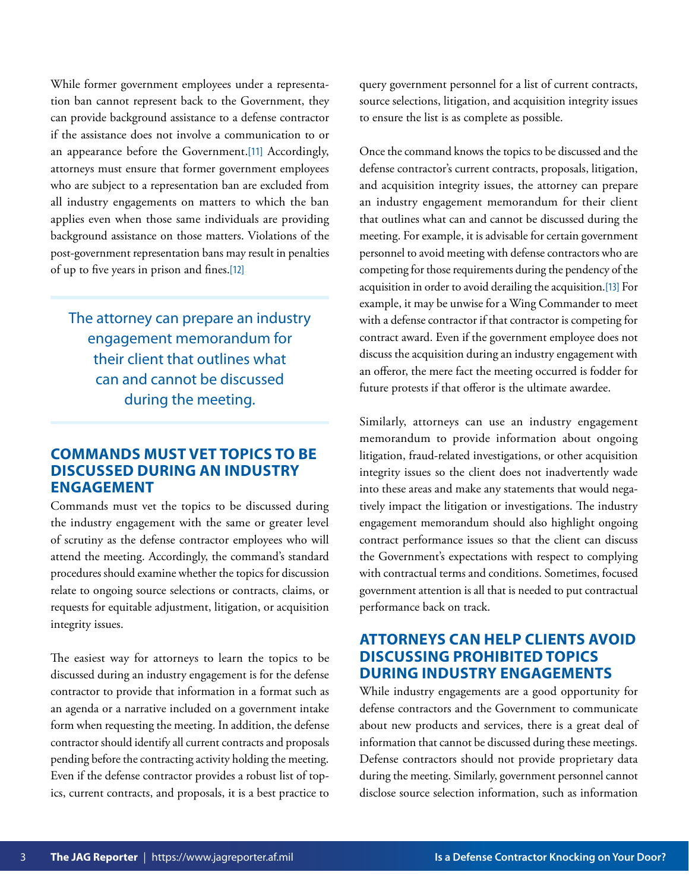<span id="page-2-0"></span>While former government employees under a representation ban cannot represent back to the Government, they can provide background assistance to a defense contractor if the assistance does not involve a communication to or an appearance before the Government.[\[11\]](#page-6-0) Accordingly, attorneys must ensure that former government employees who are subject to a representation ban are excluded from all industry engagements on matters to which the ban applies even when those same individuals are providing background assistance on those matters. Violations of the post-government representation bans may result in penalties of up to five years in prison and fines.[\[12\]](#page-6-0)

The attorney can prepare an industry engagement memorandum for their client that outlines what can and cannot be discussed during the meeting.

#### **COMMANDS MUST VET TOPICS TO BE DISCUSSED DURING AN INDUSTRY ENGAGEMENT**

Commands must vet the topics to be discussed during the industry engagement with the same or greater level of scrutiny as the defense contractor employees who will attend the meeting. Accordingly, the command's standard procedures should examine whether the topics for discussion relate to ongoing source selections or contracts, claims, or requests for equitable adjustment, litigation, or acquisition integrity issues.

The easiest way for attorneys to learn the topics to be discussed during an industry engagement is for the defense contractor to provide that information in a format such as an agenda or a narrative included on a government intake form when requesting the meeting. In addition, the defense contractor should identify all current contracts and proposals pending before the contracting activity holding the meeting. Even if the defense contractor provides a robust list of topics, current contracts, and proposals, it is a best practice to

query government personnel for a list of current contracts, source selections, litigation, and acquisition integrity issues to ensure the list is as complete as possible.

Once the command knows the topics to be discussed and the defense contractor's current contracts, proposals, litigation, and acquisition integrity issues, the attorney can prepare an industry engagement memorandum for their client that outlines what can and cannot be discussed during the meeting. For example, it is advisable for certain government personnel to avoid meeting with defense contractors who are competing for those requirements during the pendency of the acquisition in order to avoid derailing the acquisition.[\[13\]](#page-6-0) For example, it may be unwise for a Wing Commander to meet with a defense contractor if that contractor is competing for contract award. Even if the government employee does not discuss the acquisition during an industry engagement with an offeror, the mere fact the meeting occurred is fodder for future protests if that offeror is the ultimate awardee.

Similarly, attorneys can use an industry engagement memorandum to provide information about ongoing litigation, fraud-related investigations, or other acquisition integrity issues so the client does not inadvertently wade into these areas and make any statements that would negatively impact the litigation or investigations. The industry engagement memorandum should also highlight ongoing contract performance issues so that the client can discuss the Government's expectations with respect to complying with contractual terms and conditions. Sometimes, focused government attention is all that is needed to put contractual performance back on track.

#### **ATTORNEYS CAN HELP CLIENTS AVOID DISCUSSING PROHIBITED TOPICS DURING INDUSTRY ENGAGEMENTS**

While industry engagements are a good opportunity for defense contractors and the Government to communicate about new products and services, there is a great deal of information that cannot be discussed during these meetings. Defense contractors should not provide proprietary data during the meeting. Similarly, government personnel cannot disclose source selection information, such as information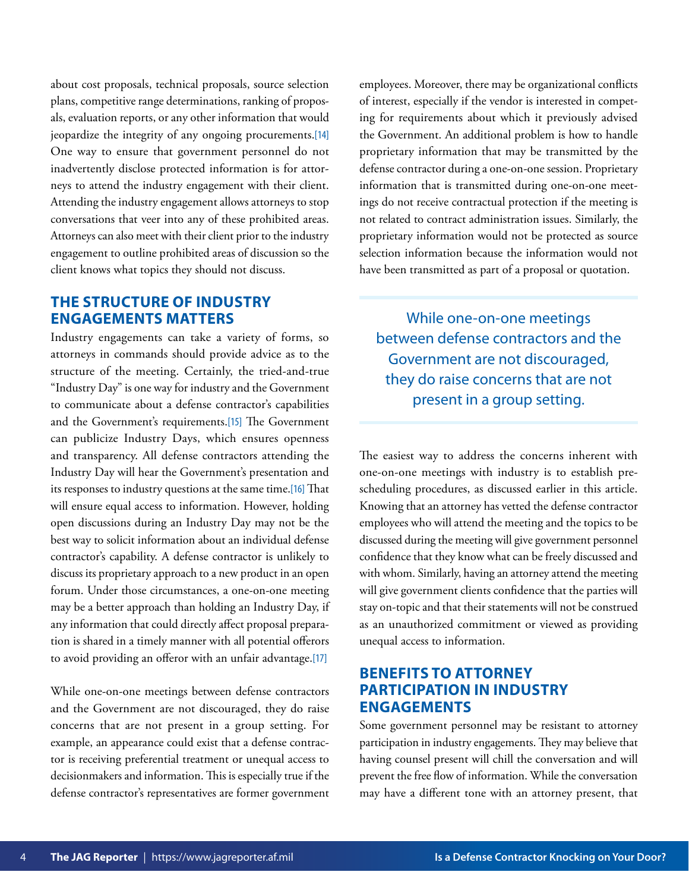<span id="page-3-0"></span>about cost proposals, technical proposals, source selection plans, competitive range determinations, ranking of proposals, evaluation reports, or any other information that would jeopardize the integrity of any ongoing procurements.[\[14\]](#page-6-0) One way to ensure that government personnel do not inadvertently disclose protected information is for attorneys to attend the industry engagement with their client. Attending the industry engagement allows attorneys to stop conversations that veer into any of these prohibited areas. Attorneys can also meet with their client prior to the industry engagement to outline prohibited areas of discussion so the client knows what topics they should not discuss.

#### **THE STRUCTURE OF INDUSTRY ENGAGEMENTS MATTERS**

Industry engagements can take a variety of forms, so attorneys in commands should provide advice as to the structure of the meeting. Certainly, the tried-and-true "Industry Day" is one way for industry and the Government to communicate about a defense contractor's capabilities and the Government's requirements.[\[15\]](#page-6-0) The Government can publicize Industry Days, which ensures openness and transparency. All defense contractors attending the Industry Day will hear the Government's presentation and its responses to industry questions at the same time.[\[16\]](#page-7-0) That will ensure equal access to information. However, holding open discussions during an Industry Day may not be the best way to solicit information about an individual defense contractor's capability. A defense contractor is unlikely to discuss its proprietary approach to a new product in an open forum. Under those circumstances, a one-on-one meeting may be a better approach than holding an Industry Day, if any information that could directly affect proposal preparation is shared in a timely manner with all potential offerors to avoid providing an offeror with an unfair advantage.[\[17\]](#page-7-0)

While one-on-one meetings between defense contractors and the Government are not discouraged, they do raise concerns that are not present in a group setting. For example, an appearance could exist that a defense contractor is receiving preferential treatment or unequal access to decisionmakers and information. This is especially true if the defense contractor's representatives are former government

employees. Moreover, there may be organizational conflicts of interest, especially if the vendor is interested in competing for requirements about which it previously advised the Government. An additional problem is how to handle proprietary information that may be transmitted by the defense contractor during a one-on-one session. Proprietary information that is transmitted during one-on-one meetings do not receive contractual protection if the meeting is not related to contract administration issues. Similarly, the proprietary information would not be protected as source selection information because the information would not have been transmitted as part of a proposal or quotation.

While one-on-one meetings between defense contractors and the Government are not discouraged, they do raise concerns that are not present in a group setting.

The easiest way to address the concerns inherent with one-on-one meetings with industry is to establish prescheduling procedures, as discussed earlier in this article. Knowing that an attorney has vetted the defense contractor employees who will attend the meeting and the topics to be discussed during the meeting will give government personnel confidence that they know what can be freely discussed and with whom. Similarly, having an attorney attend the meeting will give government clients confidence that the parties will stay on-topic and that their statements will not be construed as an unauthorized commitment or viewed as providing unequal access to information.

#### **BENEFITS TO ATTORNEY PARTICIPATION IN INDUSTRY ENGAGEMENTS**

Some government personnel may be resistant to attorney participation in industry engagements. They may believe that having counsel present will chill the conversation and will prevent the free flow of information. While the conversation may have a different tone with an attorney present, that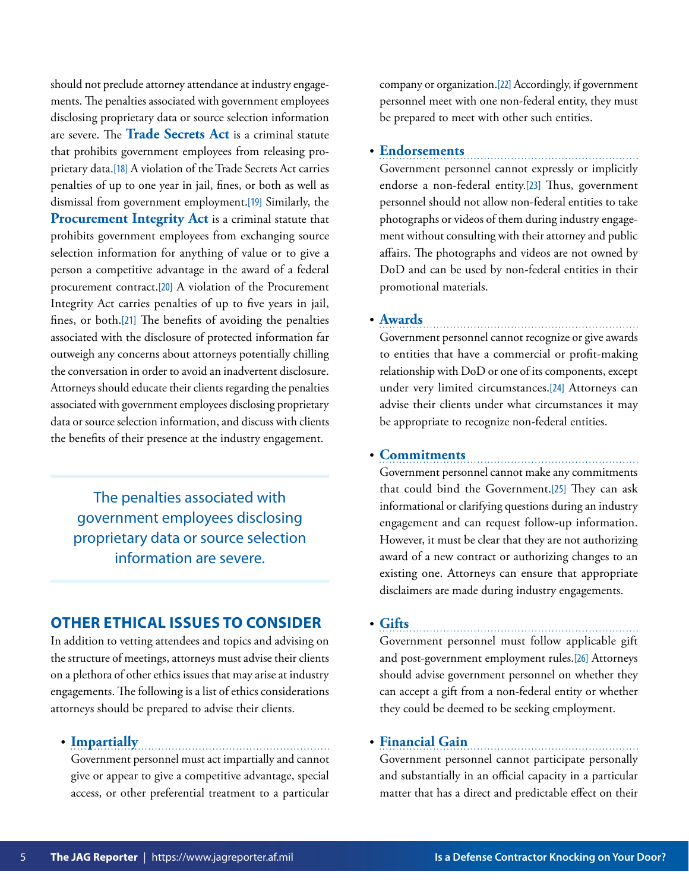<span id="page-4-0"></span>should not preclude attorney attendance at industry engagements. The penalties associated with government employees disclosing proprietary data or source selection information are severe. The **Trade Secrets Act** is a criminal statute that prohibits government employees from releasing proprietary data.[\[18\]](#page-7-0) A violation of the Trade Secrets Act carries penalties of up to one year in jail, fines, or both as well as dismissal from government employment.[\[19\]](#page-7-0) Similarly, the **Procurement Integrity Act** is a criminal statute that prohibits government employees from exchanging source selection information for anything of value or to give a person a competitive advantage in the award of a federal procurement contract.[\[20\]](#page-7-0) A violation of the Procurement Integrity Act carries penalties of up to five years in jail, fines, or both.[\[21\]](#page-7-0) The benefits of avoiding the penalties associated with the disclosure of protected information far outweigh any concerns about attorneys potentially chilling the conversation in order to avoid an inadvertent disclosure. Attorneys should educate their clients regarding the penalties associated with government employees disclosing proprietary data or source selection information, and discuss with clients the benefits of their presence at the industry engagement.

The penalties associated with government employees disclosing proprietary data or source selection information are severe.

#### **OTHER ETHICAL ISSUES TO CONSIDER**

In addition to vetting attendees and topics and advising on the structure of meetings, attorneys must advise their clients on a plethora of other ethics issues that may arise at industry engagements. The following is a list of ethics considerations attorneys should be prepared to advise their clients.

## • **Impartially**

Government personnel must act impartially and cannot give or appear to give a competitive advantage, special access, or other preferential treatment to a particular

company or organization.[\[22\]](#page-7-0) Accordingly, if government personnel meet with one non-federal entity, they must be prepared to meet with other such entities.

#### • **Endorsements**

Government personnel cannot expressly or implicitly endorse a non-federal entity.[\[23\]](#page-7-0) Thus, government personnel should not allow non-federal entities to take photographs or videos of them during industry engagement without consulting with their attorney and public affairs. The photographs and videos are not owned by DoD and can be used by non-federal entities in their promotional materials.

• **Awards**

Government personnel cannot recognize or give awards to entities that have a commercial or profit-making relationship with DoD or one of its components, except under very limited circumstances.[\[24\]](#page-7-0) Attorneys can advise their clients under what circumstances it may be appropriate to recognize non-federal entities.

#### • **Commitments**

Government personnel cannot make any commitments that could bind the Government.[\[25\]](#page-7-0) They can ask informational or clarifying questions during an industry engagement and can request follow-up information. However, it must be clear that they are not authorizing award of a new contract or authorizing changes to an existing one. Attorneys can ensure that appropriate disclaimers are made during industry engagements.

• **Gifts** 

Government personnel must follow applicable gift and post-government employment rules.[\[26\]](#page-7-0) Attorneys should advise government personnel on whether they can accept a gift from a non-federal entity or whether they could be deemed to be seeking employment.

#### • **Financial Gain**

Government personnel cannot participate personally and substantially in an official capacity in a particular matter that has a direct and predictable effect on their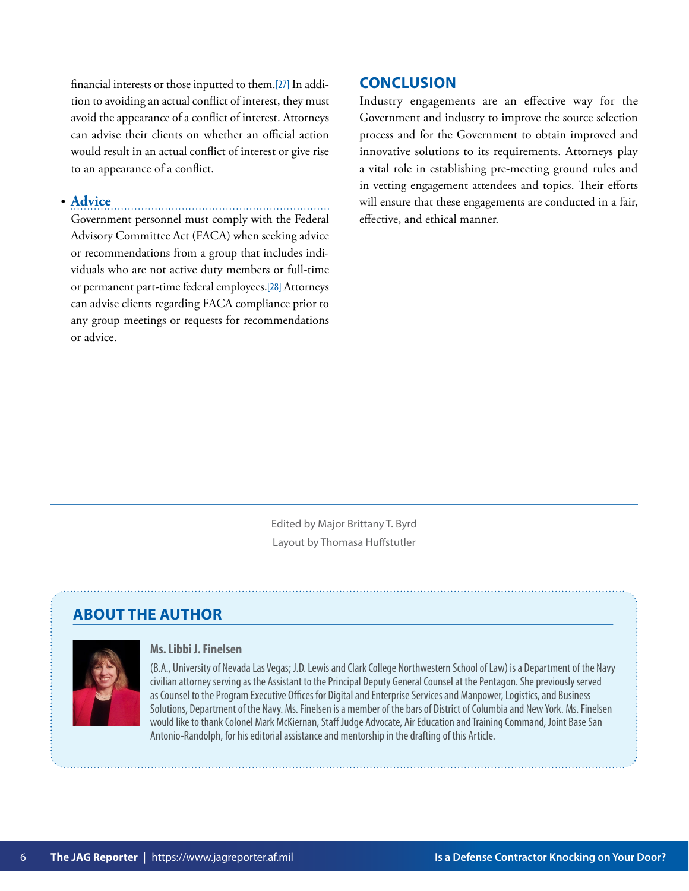<span id="page-5-0"></span>financial interests or those inputted to them.[\[27\]](#page-7-0) In addition to avoiding an actual conflict of interest, they must avoid the appearance of a conflict of interest. Attorneys can advise their clients on whether an official action would result in an actual conflict of interest or give rise to an appearance of a conflict.

#### • **Advice**

Government personnel must comply with the Federal Advisory Committee Act (FACA) when seeking advice or recommendations from a group that includes individuals who are not active duty members or full-time or permanent part-time federal employees.[\[28\]](#page-7-0) Attorneys can advise clients regarding FACA compliance prior to any group meetings or requests for recommendations or advice.

#### **CONCLUSION**

Industry engagements are an effective way for the Government and industry to improve the source selection process and for the Government to obtain improved and innovative solutions to its requirements. Attorneys play a vital role in establishing pre-meeting ground rules and in vetting engagement attendees and topics. Their efforts will ensure that these engagements are conducted in a fair, effective, and ethical manner.

Edited by Major Brittany T. Byrd Layout by Thomasa Huffstutler

### **ABOUT THE AUTHOR**



#### **Ms. Libbi J. Finelsen**

(B.A., University of Nevada Las Vegas; J.D. Lewis and Clark College Northwestern School of Law) is a Department of the Navy civilian attorney serving as the Assistant to the Principal Deputy General Counsel at the Pentagon. She previously served as Counsel to the Program Executive Offices for Digital and Enterprise Services and Manpower, Logistics, and Business Solutions, Department of the Navy. Ms. Finelsen is a member of the bars of District of Columbia and New York. Ms. Finelsen would like to thank Colonel Mark McKiernan, Staff Judge Advocate, Air Education and Training Command, Joint Base San Antonio‑Randolph, for his editorial assistance and mentorship in the drafting of this Article.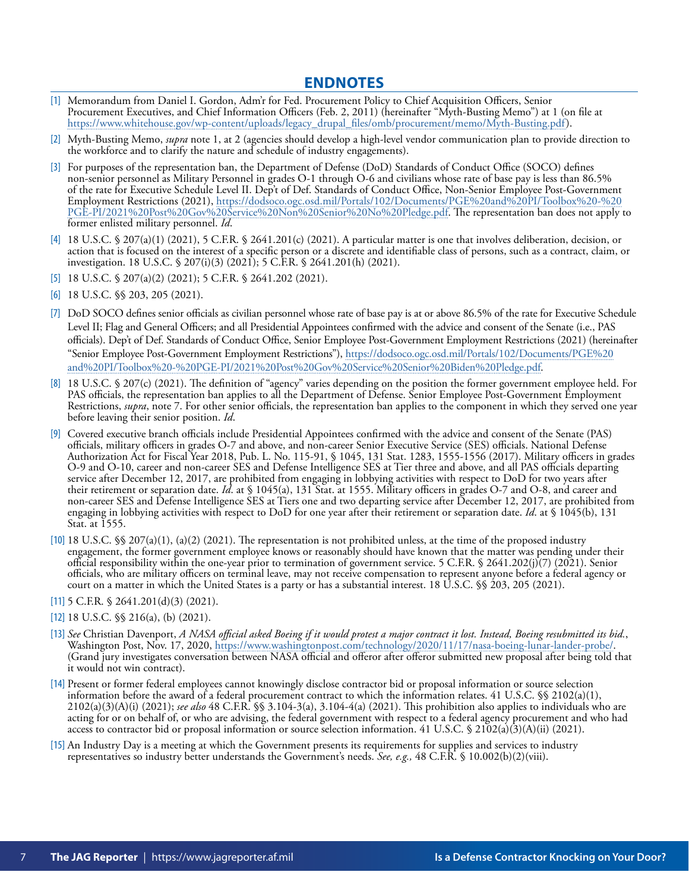#### **ENDNOTES**

- <span id="page-6-0"></span>[\[1\]](#page-1-0) Memorandum from Daniel I. Gordon, Adm'r for Fed. Procurement Policy to Chief Acquisition Officers, Senior Procurement Executives, and Chief Information Officers (Feb. 2, 2011) (hereinafter "Myth-Busting Memo") at 1 (on file at [https://www.whitehouse.gov/wp-content/uploads/legacy\\_drupal\\_files/omb/procurement/memo/Myth-Busting.pdf](https://www.whitehouse.gov/wp-content/uploads/legacy_drupal_files/omb/procurement/memo/Myth-Busting.pdf)).
- [\[2\]](#page-1-0) Myth-Busting Memo, *supra* note 1, at 2 (agencies should develop a high-level vendor communication plan to provide direction to the workforce and to clarify the nature and schedule of industry engagements).
- [\[3\]](#page-1-0) For purposes of the representation ban, the Department of Defense (DoD) Standards of Conduct Office (SOCO) defines non-senior personnel as Military Personnel in grades O-1 through O-6 and civilians whose rate of base pay is less than 86.5% of the rate for Executive Schedule Level II. Dep't of Def. Standards of Conduct Office, Non-Senior Employee Post-Government Employment Restrictions (2021), https://dodsoco.ogc.osd.mil/Portals/102/Documents/PGE%20and%20PI/Toolbox%20-%20 [PGE-PI/2021%20Post%20Gov%20Service%20Non%20Senior%20No%20Pledge.pdf. The representation ban does not apply](https://dodsoco.ogc.osd.mil/Portals/102/Documents/PGE%20and%20PI/Toolbox%20-%20PGE-PI/2021%20Post%20Gov%20Service%20Non%20Senior%20No%20Pledge.pdf) to former enlisted military personnel. *Id*.
- [\[4\]](#page-1-0) 18 U.S.C. § 207(a)(1) (2021), 5 C.F.R. § 2641.201(c) (2021). A particular matter is one that involves deliberation, decision, or action that is focused on the interest of a specific person or a discrete and identifiable class of persons, such as a contract, claim, or investigation. 18 U.S.C. § 207(i)(3) (2021); 5 C.F.R. § 2641.201(h) (2021).
- [\[5\]](#page-1-0) 18 U.S.C. § 207(a)(2) (2021); 5 C.F.R. § 2641.202 (2021).
- [\[6\]](#page-1-0) 18 U.S.C. §§ 203, 205 (2021).
- [\[7\]](#page-1-0) DoD SOCO defines senior officials as civilian personnel whose rate of base pay is at or above 86.5% of the rate for Executive Schedule Level II; Flag and General Officers; and all Presidential Appointees confirmed with the advice and consent of the Senate (i.e., PAS officials). Dep't of Def. Standards of Conduct Office, Senior Employee Post-Government Employment Restrictions (2021) (hereinafter ["Senior Employee Post-Government Employment Restrictions"\), https://dodsoco.ogc.osd.mil/Portals/102/Documents/PGE%20](https://dodsoco.ogc.osd.mil/Portals/102/Documents/PGE%20and%20PI/Toolbox%20-%20PGE-PI/2021%20Post%20Gov%20Service%20Senior%20Biden%20Pledge.pdf) and%20PI/Toolbox%20-%20PGE-PI/2021%20Post%20Gov%20Service%20Senior%20Biden%20Pledge.pdf.
- [\[8\]](#page-1-0) 18 U.S.C. § 207(c) (2021). The definition of "agency" varies depending on the position the former government employee held. For PAS officials, the representation ban applies to all the Department of Defense. Senior Employee Post-Government Employment Restrictions, *supra*, note 7. For other senior officials, the representation ban applies to the component in which they served one year before leaving their senior position. *Id*.
- [\[9\]](#page-1-0) Covered executive branch officials include Presidential Appointees confirmed with the advice and consent of the Senate (PAS) officials, military officers in grades O-7 and above, and non-career Senior Executive Service (SES) officials. National Defense Authorization Act for Fiscal Year 2018, Pub. L. No. 115-91, § 1045, 131 Stat. 1283, 1555-1556 (2017). Military officers in grades O-9 and O-10, career and non-career SES and Defense Intelligence SES at Tier three and above, and all PAS officials departing service after December 12, 2017, are prohibited from engaging in lobbying activities with respect to DoD for two years after their retirement or separation date. *Id*. at § 1045(a), 131 Stat. at 1555. Military officers in grades O-7 and O-8, and career and non-career SES and Defense Intelligence SES at Tiers one and two departing service after December 12, 2017, are prohibited from engaging in lobbying activities with respect to DoD for one year after their retirement or separation date. *Id*. at § 1045(b), 131 Stat. at 1555.
- [\[10\]](#page-1-0) 18 U.S.C. §§ 207(a)(1), (a)(2) (2021). The representation is not prohibited unless, at the time of the proposed industry engagement, the former government employee knows or reasonably should have known that the matter was pending under their official responsibility within the one-year prior to termination of government service. 5 C.F.R. § 2641.202(j)(7) (2021). Senior officials, who are military officers on terminal leave, may not receive compensation to represent anyone before a federal agency or court on a matter in which the United States is a party or has a substantial interest. 18 U.S.C. §§ 203, 205 (2021).
- [\[11\]](#page-2-0)  $5$  C.F.R.  $\frac{6}{3}$  2641.201(d)(3) (2021).
- [\[12\]](#page-2-0) 18 U.S.C. §§ 216(a), (b) (2021).
- [\[13\]](#page-2-0) *See* Christian Davenport, *A NASA official asked Boeing if it would protest a major contract it lost. Instead, Boeing resubmitted its bid.*, Washington Post, Nov. 17, 2020,<https://www.washingtonpost.com/technology/2020/11/17/nasa-boeing-lunar-lander-probe/>. (Grand jury investigates conversation between NASA official and offeror after offeror submitted new proposal after being told that it would not win contract).
- [\[14\]](#page-3-0) Present or former federal employees cannot knowingly disclose contractor bid or proposal information or source selection information before the award of a federal procurement contract to which the information relates. 41 U.S.C.  $\$  2102(a)(1), 2102(a)(3)(A)(i) (2021); *see also* 48 C.F.R. §§ 3.104-3(a), 3.104-4(a) (2021). This prohibition also applies to individuals who are acting for or on behalf of, or who are advising, the federal government with respect to a federal agency procurement and who had access to contractor bid or proposal information or source selection information. 41 U.S.C. § 2102(a)(3)(A)(ii) (2021).
- [\[15\]](#page-3-0) An Industry Day is a meeting at which the Government presents its requirements for supplies and services to industry representatives so industry better understands the Government's needs. *See, e.g.,* 48 C.F.R. § 10.002(b)(2)(viii).